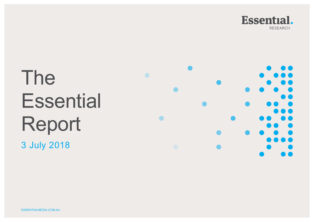

# The **Essential** Report 3 July 2018

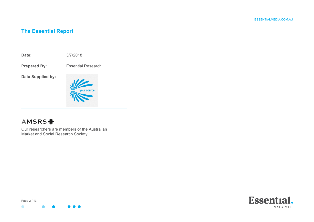# **The Essential Report**



# **AMSRS幸**

Our researchers are members of the Australian Market and Social Research Society.



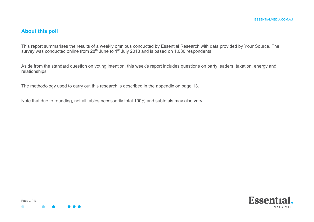# **About this poll**

This report summarises the results of a weekly omnibus conducted by Essential Research with data provided by Your Source. The survey was conducted online from 28<sup>th</sup> June to 1<sup>st</sup> July 2018 and is based on 1,030 respondents.

Aside from the standard question on voting intention, this week's report includes questions on party leaders, taxation, energy and relationships.

The methodology used to carry out this research is described in the appendix on page 13.

Note that due to rounding, not all tables necessarily total 100% and subtotals may also vary.



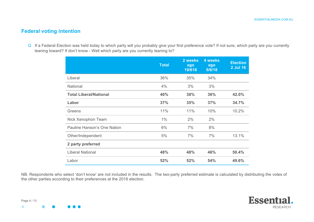# **Federal voting intention**

Q If a Federal Election was held today to which party will you probably give your first preference vote? If not sure, which party are you currently leaning toward? If don't know - Well which party are you currently leaning to?

|                               | <b>Total</b> | 2 weeks<br>ago<br>19/618 | <b>4 weeks</b><br>ago<br>5/6/18 | <b>Election</b><br>2 Jul 16 |
|-------------------------------|--------------|--------------------------|---------------------------------|-----------------------------|
| Liberal                       | 36%          | 35%                      | 34%                             |                             |
| National                      | 4%           | 3%                       | 3%                              |                             |
| <b>Total Liberal/National</b> | 40%          | 38%                      | 36%                             | 42.0%                       |
| Labor                         | 37%          | 35%                      | 37%                             | 34.7%                       |
| Greens                        | 11%          | 11%                      | 10%                             | 10.2%                       |
| Nick Xenophon Team            | $1\%$        | 2%                       | 2%                              |                             |
| Pauline Hanson's One Nation   | 6%           | 7%                       | 8%                              |                             |
| Other/Independent             | 5%           | 7%                       | 7%                              | 13.1%                       |
| 2 party preferred             |              |                          |                                 |                             |
| <b>Liberal National</b>       | 48%          | 48%                      | 46%                             | 50.4%                       |
| Labor                         | 52%          | 52%                      | 54%                             | 49.6%                       |

NB. Respondents who select 'don't know' are not included in the results. The two-party preferred estimate is calculated by distributing the votes of the other parties according to their preferences at the 2016 election.

 $\bullet$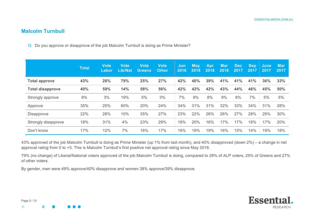# **Malcolm Turnbull**

Q Do you approve or disapprove of the job Malcolm Turnbull is doing as Prime Minister?

|                         | <b>Total</b> | <b>Vote</b><br>Labor | <b>Vote</b><br><b>Lib/Nat</b> | <b>Vote</b><br>Greens | <b>Vote</b><br><b>Other</b> | Jun<br>2018 | <b>May</b><br>2018 | Apr<br>2018 | <b>Mar</b><br>2018 | <b>Dec</b><br>2017 | <b>Sep</b><br>2017 | <b>June</b><br>2017 | <b>Mar</b><br>2017 |
|-------------------------|--------------|----------------------|-------------------------------|-----------------------|-----------------------------|-------------|--------------------|-------------|--------------------|--------------------|--------------------|---------------------|--------------------|
| <b>Total approve</b>    | 43%          | 28%                  | 79%                           | 25%                   | 27%                         | 42%         | 40%                | 39%         | 41%                | 41%                | 41%                | 36%                 | 33%                |
| <b>Total disapprove</b> | 40%          | 59%                  | 14%                           | 58%                   | 56%                         | 42%         | 42%                | 42%         | 43%                | 44%                | 46%                | 45%                 | 50%                |
| Strongly approve        | 8%           | 3%                   | 19%                           | 5%                    | 3%                          | 7%          | 9%                 | 8%          | 9%                 | 8%                 | 7%                 | 5%                  | 5%                 |
| Approve                 | 35%          | 25%                  | 60%                           | 20%                   | 24%                         | 34%         | 31%                | 31%         | 32%                | 33%                | 34%                | 31%                 | 28%                |
| <b>Disapprove</b>       | 22%          | 28%                  | 10%                           | 35%                   | 27%                         | 23%         | 22%                | 26%         | 26%                | 27%                | 28%                | 28%                 | 30%                |
| Strongly disapprove     | 18%          | 31%                  | 4%                            | 23%                   | 29%                         | 18%         | 20%                | 16%         | 17%                | 17%                | 18%                | 17%                 | 20%                |
| Don't know              | 17%          | 12%                  | 7%                            | 16%                   | 17%                         | 16%         | 19%                | 19%         | 16%                | 15%                | 14%                | 19%                 | 18%                |

43% approved of the job Malcolm Turnbull is doing as Prime Minister (up 1% from last month), and 40% disapproved (down 2%) – a change in net approval rating from 0 to +3. This is Malcolm Turnbull's first positive net approval rating since May 2016.

79% (no change) of Liberal/National voters approved of the job Malcolm Turnbull is doing, compared to 28% of ALP voters, 25% of Greens and 27% of other voters.

By gender, men were 49% approve/40% disapprove and women 38% approve/39% disapprove.

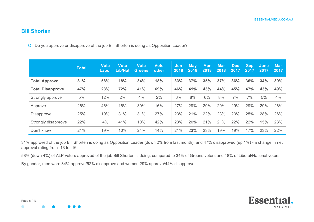#### **Bill Shorten**

Q Do you approve or disapprove of the job Bill Shorten is doing as Opposition Leader?

|                         | <b>Total</b> | <b>Vote</b><br>Labor | <b>Vote</b><br><b>Lib/Nat</b> | <b>Vote</b><br><b>Greens</b> | <b>Vote</b><br>other | Jun<br>2018 | <b>May</b><br>2018 | <b>Apr</b><br>2018 | <b>Mar</b><br>2018 | Dec.<br>2017 | <b>Sep</b><br>2017 | June<br>2017 | <b>Mar</b><br>2017 |
|-------------------------|--------------|----------------------|-------------------------------|------------------------------|----------------------|-------------|--------------------|--------------------|--------------------|--------------|--------------------|--------------|--------------------|
| <b>Total Approve</b>    | 31%          | 58%                  | 18%                           | 34%                          | 18%                  | 33%         | 37%                | 35%                | 37%                | 36%          | 36%                | 34%          | 30%                |
| <b>Total Disapprove</b> | 47%          | 23%                  | 72%                           | 41%                          | 69%                  | 46%         | 41%                | 43%                | 44%                | 45%          | 47%                | 43%          | 49%                |
| Strongly approve        | 5%           | 12%                  | 2%                            | 4%                           | 2%                   | 6%          | 8%                 | 6%                 | 8%                 | 7%           | 7%                 | 5%           | 4%                 |
| Approve                 | 26%          | 46%                  | 16%                           | 30%                          | 16%                  | 27%         | 29%                | 29%                | 29%                | 29%          | 29%                | 29%          | 26%                |
| <b>Disapprove</b>       | 25%          | 19%                  | 31%                           | 31%                          | 27%                  | 23%         | 21%                | 22%                | 23%                | 23%          | 25%                | 28%          | 26%                |
| Strongly disapprove     | 22%          | 4%                   | 41%                           | 10%                          | 42%                  | 23%         | 20%                | 21%                | 21%                | 22%          | 22%                | 15%          | 23%                |
| Don't know              | 21%          | 19%                  | 10%                           | 24%                          | 14%                  | 21%         | 23%                | 23%                | 19%                | 19%          | 17%                | 23%          | 22%                |

31% approved of the job Bill Shorten is doing as Opposition Leader (down 2% from last month), and 47% disapproved (up 1%) - a change in net approval rating from -13 to -16.

58% (down 4%) of ALP voters approved of the job Bill Shorten is doing, compared to 34% of Greens voters and 18% of Liberal/National voters.

By gender, men were 34% approve/52% disapprove and women 29% approve/44% disapprove.

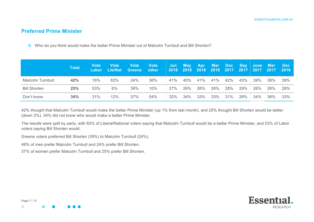# **Preferred Prime Minister**

Q Who do you think would make the better Prime Minister out of Malcolm Turnbull and Bill Shorten?

|                     | <b>Total</b> | <b>Vote</b><br><b>Labor</b> | <b>Vote</b> | <b>Vote</b><br>Lib/Nat Greens other | <b>Vote</b> | 2018 2018 2018 2018 2017 2017 2017 2017 2016 |     |     |     |     |     | Jun May Apr Mar Dec Sep June Mar |     | <b>Dec</b> |
|---------------------|--------------|-----------------------------|-------------|-------------------------------------|-------------|----------------------------------------------|-----|-----|-----|-----|-----|----------------------------------|-----|------------|
| Malcolm Turnbull    | 42%          | 16%                         | 83%         | 24%                                 | 36%         | 41%                                          | 40% | 41% | 41% | 42% | 43% | 39%                              | 38% | 39%        |
| <b>Bill Shorten</b> | 25%          | 53%                         | 6%          | 39%                                 | 10%         | 27%                                          | 26% | 26% | 26% | 28% | 29% | 26%                              | 26% | 28%        |
| Don't know          | 34%          | 31%                         | 12%         | 37%                                 | 54%         | 32%                                          | 34% | 33% | 33% | 31% | 28% | 34%                              | 36% | 33%        |

42% thought that Malcolm Turnbull would make the better Prime Minister (up 1% from last month), and 25% thought Bill Shorten would be better (down 2%). 34% did not know who would make a better Prime Minister.

The results were split by party, with 83% of Liberal/National voters saying that Malcolm Turnbull would be a better Prime Minister, and 53% of Labor voters saying Bill Shorten would.

Greens voters preferred Bill Shorten (39%) to Malcolm Turnbull (24%).

46% of men prefer Malcolm Turnbull and 24% prefer Bill Shorten.

37% of women prefer Malcolm Turnbull and 25% prefer Bill Shorten.

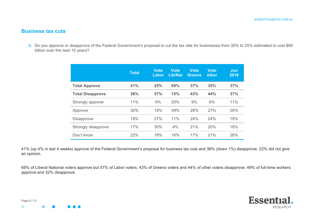# **Business tax cuts**

Q Do you approve or disapprove of the Federal Government's proposal to cut the tax rate for businesses from 30% to 25% estimated to cost \$80 billion over the next 10 years?

|                         | <b>Total</b> | <b>Vote</b><br>Labor | Vote<br><b>Lib/Nat</b> | Vote<br><b>Greens</b> | <b>Vote</b><br>other | Jun<br>2018 |
|-------------------------|--------------|----------------------|------------------------|-----------------------|----------------------|-------------|
| <b>Total Approve</b>    | 41%          | 25%                  | 69%                    | 37%                   | 35%                  | 37%         |
| <b>Total Disapprove</b> | 36%          | 57%                  | 15%                    | 43%                   | 44%                  | 37%         |
| Strongly approve        | 11%          | 6%                   | 20%                    | 9%                    | 8%                   | 11%         |
| Approve                 | 30%          | 19%                  | 49%                    | 28%                   | 27%                  | 26%         |
| <b>Disapprove</b>       | 19%          | 27%                  | 11%                    | 24%                   | 24%                  | 19%         |
| Strongly disapprove     | 17%          | 30%                  | 4%                     | 21%                   | 20%                  | 18%         |
| Don't know              | 22%          | 18%                  | 16%                    | 17%                   | 21%                  | 26%         |

41% (up 4% in last 4 weeks) approve of the Federal Government's proposal for business tax cuts and 36% (down 1%) disapprove. 22% did not give an opinion.

69% of Liberal National voters approve but 57% of Labor voters, 43% of Greens voters and 44% of other voters disapprove. 49% of full-time workers approve and 32% disapprove.

 $\bullet$ 

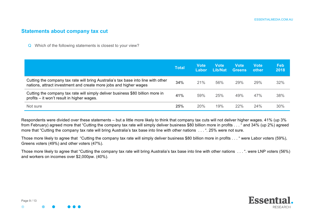#### **Statements about company tax cut**

Q Which of the following statements is closest to your view?

|                                                                                                                                                        | <b>Total</b> | Vote<br><b>Labor</b> | Vote<br>Lib/Nat | <b>Vote</b><br><b>Greens</b> | Vote<br>other | Feb<br>2018 |
|--------------------------------------------------------------------------------------------------------------------------------------------------------|--------------|----------------------|-----------------|------------------------------|---------------|-------------|
| Cutting the company tax rate will bring Australia's tax base into line with other<br>nations, attract investment and create more jobs and higher wages | 34%          | 21%                  | 56%             | 29%                          | 29%           | 32%         |
| Cutting the company tax rate will simply deliver business \$80 billion more in<br>profits – it won't result in higher wages.                           | 41%          | 59%                  | 25%             | 49%                          | 47%           | 38%         |
| Not sure                                                                                                                                               | 25%          | 20%                  | 19%             | 22%                          | 24%           | 30%         |

Respondents were divided over these statements – but a little more likely to think that company tax cuts will not deliver higher wages. 41% (up 3% from February) agreed more that "Cutting the company tax rate will simply deliver business \$80 billion more in profits . . . " and 34% (up 2%) agreed more that "Cutting the company tax rate will bring Australia's tax base into line with other nations . . . ". 25% were not sure.

Those more likely to agree that "Cutting the company tax rate will simply deliver business \$80 billion more in profits . . . " were Labor voters (59%), Greens voters (49%) and other voters (47%).

Those more likely to agree that "Cutting the company tax rate will bring Australia's tax base into line with other nations . . . ". were LNP voters (56%) and workers on incomes over \$2,000pw. (40%).

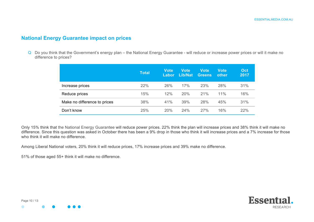#### **National Energy Guarantee impact on prices**

Q Do you think that the Government's energy plan – the National Energy Guarantee - will reduce or increase power prices or will it make no difference to prices?

|                              | <b>Total</b> | <b>Vote</b><br>Labor | <b>Vote</b><br>Lib/Nat | <b>Vote</b><br><b>Greens</b> | <b>Vote</b><br>other | Oct<br>2017 |
|------------------------------|--------------|----------------------|------------------------|------------------------------|----------------------|-------------|
| Increase prices              | 22%          | 26%                  | 17%                    | 23%                          | 28%                  | 31%         |
| Reduce prices                | 15%          | 12%                  | 20%                    | 21%                          | 11%                  | 16%         |
| Make no difference to prices | 38%          | 41%                  | 39%                    | 28%                          | 45%                  | 31%         |
| Don't know                   | 25%          | 20%                  | 24%                    | 27%                          | 16%                  | 22%         |

Only 15% think that the National Energy Guarantee will reduce power prices. 22% think the plan will increase prices and 38% think it will make no difference. Since this question was asked in October there has been a 9% drop in those who think it will increase prices and a 7% increase for those who think it will make no difference.

Among Liberal National voters, 20% think it will reduce prices, 17% increase prices and 39% make no difference.

51% of those aged 55+ think it will make no difference.

Page 10 / 13

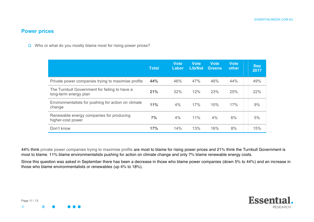#### **Power prices**

Q Who or what do you mostly blame most for rising power prices?

|                                                                        | <b>Total</b> | <b>Vote</b><br>Labor | <b>Vote</b><br>Lib/Nat | <b>Vote</b><br><b>Greens</b> | <b>Vote</b><br>other | <b>Sep</b><br>2017 |
|------------------------------------------------------------------------|--------------|----------------------|------------------------|------------------------------|----------------------|--------------------|
| Private power companies trying to maximise profits                     | 44%          | 46%                  | 47%                    | 46%                          | 44%                  | 49%                |
| The Turnbull Government for failing to have a<br>long-term energy plan | 21%          | 32%                  | 12%                    | 23%                          | 25%                  | 22%                |
| Environmentalists for pushing for action on climate<br>change          | 11%          | 4%                   | 17%                    | 10%                          | 17%                  | 9%                 |
| Renewable energy companies for producing<br>higher-cost power          | 7%           | 4%                   | 11%                    | 4%                           | 6%                   | 5%                 |
| Don't know                                                             | 17%          | 14%                  | 13%                    | 16%                          | 8%                   | 15%                |

44% think private power companies trying to maximise profits are most to blame for rising power prices and 21% think the Turnbull Government is most to blame. 11% blame environmentalists pushing for action on climate change and only 7% blame renewable energy costs.

Since this question was asked in September there has been a decrease in those who blame power companies (down 5% to 44%) and an increase in those who blame environmentalists or renewables (up 4% to 18%).

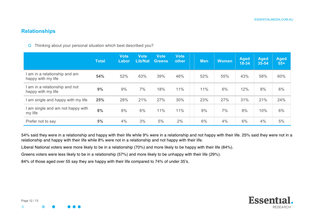#### **Relationships**

Q Thinking about your personal situation which best described you?

|                                                      | <b>Total</b> | <b>Vote</b><br>Labor | <b>Vote</b><br><b>Lib/Nat</b> | <b>Vote</b><br><b>Greens</b> | <b>Vote</b><br>other | <b>Men</b> | <b>Women</b> | <b>Aged</b><br>$18 - 34$ | <b>Aged</b><br>35-54 | <b>Aged</b><br>$55+$ |
|------------------------------------------------------|--------------|----------------------|-------------------------------|------------------------------|----------------------|------------|--------------|--------------------------|----------------------|----------------------|
| I am in a relationship and am<br>happy with my life  | 54%          | 52%                  | 63%                           | 39%                          | 46%                  | 52%        | 55%          | 43%                      | 58%                  | 60%                  |
| I am in a relationship and not<br>happy with my life | 9%           | 9%                   | 7%                            | 18%                          | 11%                  | 11%        | 6%           | 12%                      | 8%                   | 6%                   |
| I am single and happy with my life                   | 25%          | 28%                  | 21%                           | 27%                          | 30%                  | 23%        | 27%          | 31%                      | 21%                  | 24%                  |
| I am single and am not happy with<br>my life         | 8%           | 8%                   | 6%                            | 11%                          | 11%                  | 8%         | 7%           | 8%                       | 10%                  | 6%                   |
| Prefer not to say                                    | 5%           | 4%                   | 3%                            | 5%                           | 2%                   | 6%         | 4%           | 6%                       | 4%                   | 5%                   |

54% said they were in a relationship and happy with their life while 9% were in a relationship and not happy with their life. 25% said they were not in a relationship and happy with their life while 8% were not in a relationship and not happy with their life.

Liberal National voters were more likely to be in a relationship (70%) and more likely to be happy with their life (84%).

Greens voters were less likely to be in a relationship (57%) and more likely to be unhappy with their life (29%).

84% of those aged over 55 say they are happy with their life compared to 74% of under 35's.